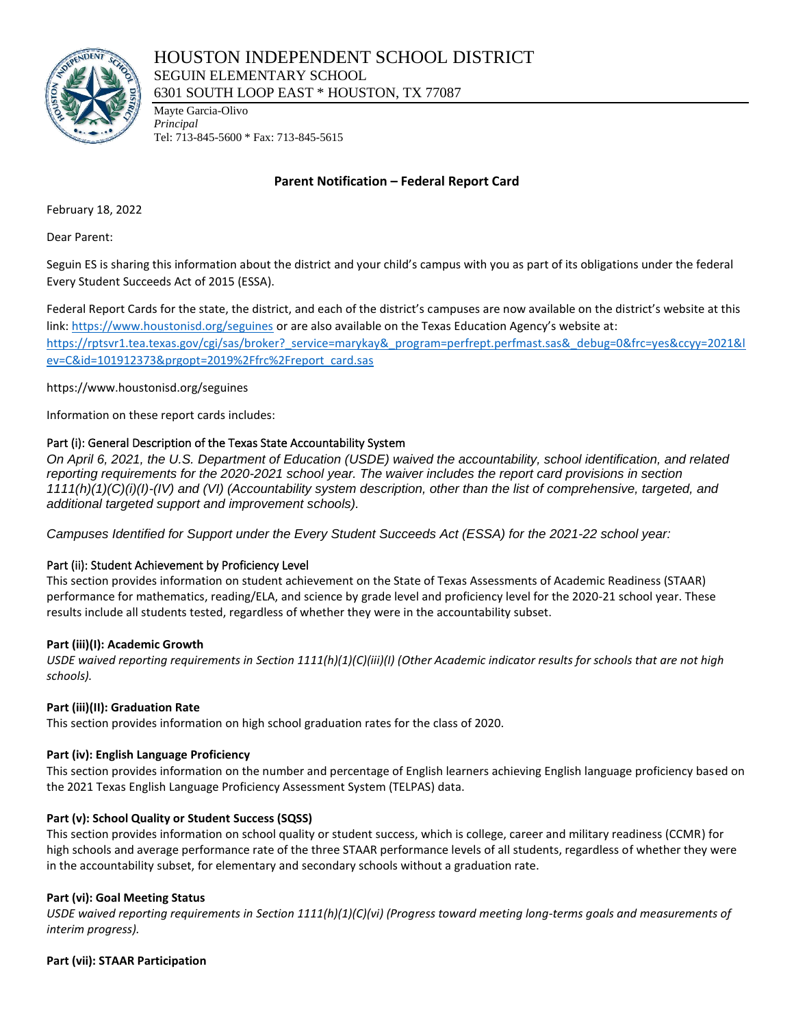

Mayte Garcia-Olivo *Principal* Tel: 713-845-5600 \* Fax: 713-845-5615

# **Parent Notification – Federal Report Card**

February 18, 2022

Dear Parent:

Seguin ES is sharing this information about the district and your child's campus with you as part of its obligations under the federal Every Student Succeeds Act of 2015 (ESSA).

Federal Report Cards for the state, the district, and each of the district's campuses are now available on the district's website at this link[: https://www.houstonisd.org/seguines](https://www.houstonisd.org/seguines) or are also available on the Texas Education Agency's website at: [https://rptsvr1.tea.texas.gov/cgi/sas/broker?\\_service=marykay&\\_program=perfrept.perfmast.sas&\\_debug=0&frc=yes&ccyy=2021&l](https://rptsvr1.tea.texas.gov/cgi/sas/broker?_service=marykay&_program=perfrept.perfmast.sas&_debug=0&frc=yes&ccyy=2021&lev=C&id=101912373&prgopt=2019%2Ffrc%2Freport_card.sas) [ev=C&id=101912373&prgopt=2019%2Ffrc%2Freport\\_card.sas](https://rptsvr1.tea.texas.gov/cgi/sas/broker?_service=marykay&_program=perfrept.perfmast.sas&_debug=0&frc=yes&ccyy=2021&lev=C&id=101912373&prgopt=2019%2Ffrc%2Freport_card.sas)

https://www.houstonisd.org/seguines

Information on these report cards includes:

# Part (i): General Description of the Texas State Accountability System

*On April 6, 2021, the U.S. Department of Education (USDE) waived the accountability, school identification, and related reporting requirements for the 2020-2021 school year. The waiver includes the report card provisions in section 1111(h)(1)(C)(i)(I)-(IV) and (VI) (Accountability system description, other than the list of comprehensive, targeted, and additional targeted support and improvement schools).*

*Campuses Identified for Support under the Every Student Succeeds Act (ESSA) for the 2021-22 school year:*

## Part (ii): Student Achievement by Proficiency Level

This section provides information on student achievement on the State of Texas Assessments of Academic Readiness (STAAR) performance for mathematics, reading/ELA, and science by grade level and proficiency level for the 2020-21 school year. These results include all students tested, regardless of whether they were in the accountability subset.

## **Part (iii)(I): Academic Growth**

*USDE waived reporting requirements in Section 1111(h)(1)(C)(iii)(I) (Other Academic indicator results for schools that are not high schools).*

## **Part (iii)(II): Graduation Rate**

This section provides information on high school graduation rates for the class of 2020.

## **Part (iv): English Language Proficiency**

This section provides information on the number and percentage of English learners achieving English language proficiency based on the 2021 Texas English Language Proficiency Assessment System (TELPAS) data.

## **Part (v): School Quality or Student Success (SQSS)**

This section provides information on school quality or student success, which is college, career and military readiness (CCMR) for high schools and average performance rate of the three STAAR performance levels of all students, regardless of whether they were in the accountability subset, for elementary and secondary schools without a graduation rate.

## **Part (vi): Goal Meeting Status**

*USDE waived reporting requirements in Section 1111(h)(1)(C)(vi) (Progress toward meeting long-terms goals and measurements of interim progress).*

**Part (vii): STAAR Participation**